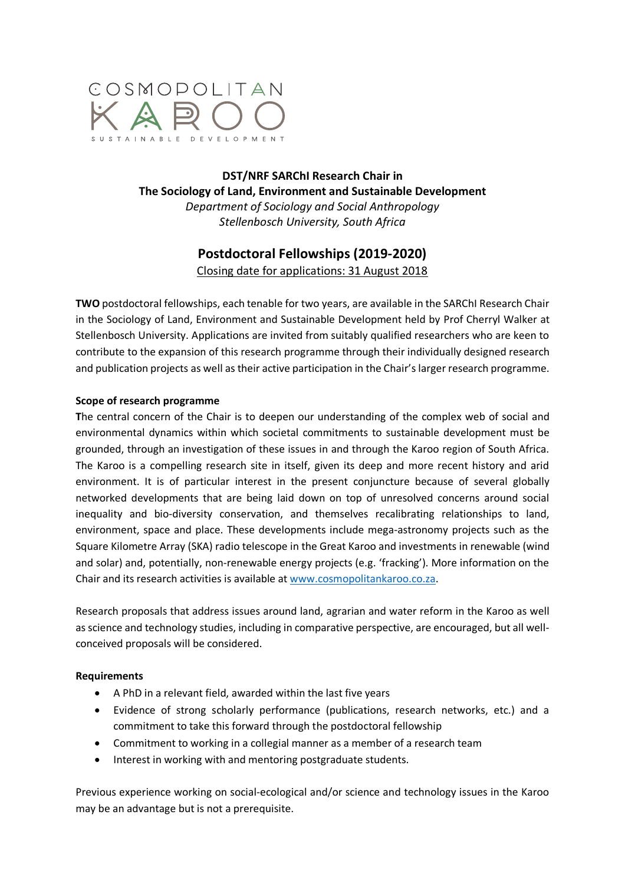

# **DST/NRF SARChI Research Chair in The Sociology of Land, Environment and Sustainable Development** *Department of Sociology and Social Anthropology*

*Stellenbosch University, South Africa*

# **Postdoctoral Fellowships (2019-2020)** Closing date for applications: 31 August 2018

**TWO** postdoctoral fellowships, each tenable for two years, are available in the SARChI Research Chair in the Sociology of Land, Environment and Sustainable Development held by Prof Cherryl Walker at Stellenbosch University. Applications are invited from suitably qualified researchers who are keen to contribute to the expansion of this research programme through their individually designed research and publication projects as well as their active participation in the Chair's larger research programme.

## **Scope of research programme**

**T**he central concern of the Chair is to deepen our understanding of the complex web of social and environmental dynamics within which societal commitments to sustainable development must be grounded, through an investigation of these issues in and through the Karoo region of South Africa. The Karoo is a compelling research site in itself, given its deep and more recent history and arid environment. It is of particular interest in the present conjuncture because of several globally networked developments that are being laid down on top of unresolved concerns around social inequality and bio-diversity conservation, and themselves recalibrating relationships to land, environment, space and place. These developments include mega-astronomy projects such as the Square Kilometre Array (SKA) radio telescope in the Great Karoo and investments in renewable (wind and solar) and, potentially, non-renewable energy projects (e.g. 'fracking'). More information on the Chair and its research activities is available at www.cosmopolitankaroo.co.za.

Research proposals that address issues around land, agrarian and water reform in the Karoo as well as science and technology studies, including in comparative perspective, are encouraged, but all wellconceived proposals will be considered.

### **Requirements**

- A PhD in a relevant field, awarded within the last five years
- Evidence of strong scholarly performance (publications, research networks, etc.) and a commitment to take this forward through the postdoctoral fellowship
- Commitment to working in a collegial manner as a member of a research team
- Interest in working with and mentoring postgraduate students.

Previous experience working on social-ecological and/or science and technology issues in the Karoo may be an advantage but is not a prerequisite.